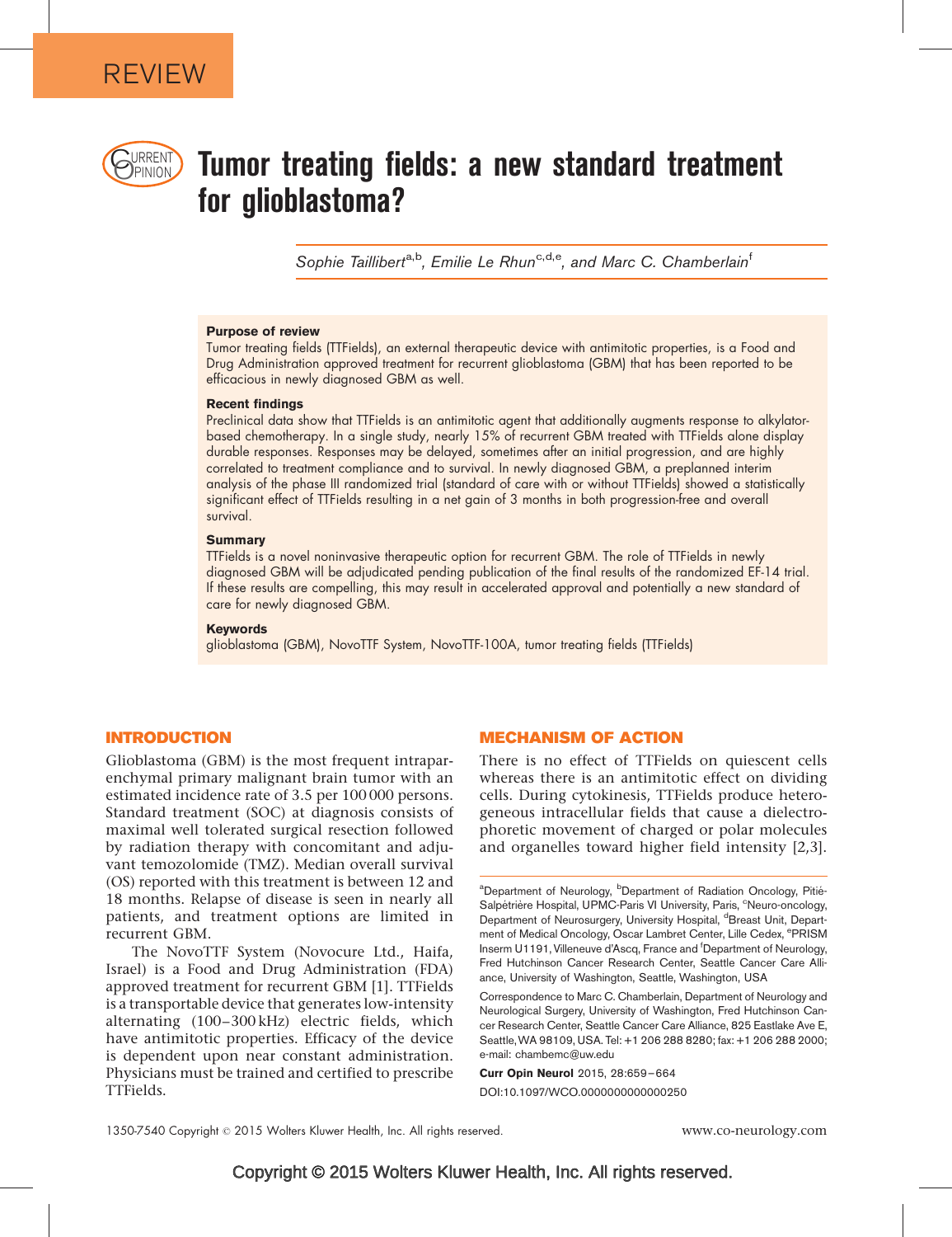

# $\bigcup_{\text{PRRENI}}$  Tumor treating fields: a new standard treatment for glioblastoma?

Sophie Taillibert<sup>a,b</sup>, Emilie Le Rhun<sup>c,d,e</sup>, and Marc C. Chamberlain<sup>f</sup>

#### Purpose of review

Tumor treating fields (TTFields), an external therapeutic device with antimitotic properties, is a Food and Drug Administration approved treatment for recurrent glioblastoma (GBM) that has been reported to be efficacious in newly diagnosed GBM as well.

#### Recent findings

Preclinical data show that TTFields is an antimitotic agent that additionally augments response to alkylatorbased chemotherapy. In a single study, nearly 15% of recurrent GBM treated with TTFields alone display durable responses. Responses may be delayed, sometimes after an initial progression, and are highly correlated to treatment compliance and to survival. In newly diagnosed GBM, a preplanned interim analysis of the phase III randomized trial (standard of care with or without TTFields) showed a statistically significant effect of TTFields resulting in a net gain of 3 months in both progression-free and overall survival.

#### **Summary**

TTFields is a novel noninvasive therapeutic option for recurrent GBM. The role of TTFields in newly diagnosed GBM will be adjudicated pending publication of the final results of the randomized EF-14 trial. If these results are compelling, this may result in accelerated approval and potentially a new standard of care for newly diagnosed GBM.

#### Keywords

glioblastoma (GBM), NovoTTF System, NovoTTF-100A, tumor treating fields (TTFields)

## INTRODUCTION

Glioblastoma (GBM) is the most frequent intraparenchymal primary malignant brain tumor with an estimated incidence rate of 3.5 per 100 000 persons. Standard treatment (SOC) at diagnosis consists of maximal well tolerated surgical resection followed by radiation therapy with concomitant and adjuvant temozolomide (TMZ). Median overall survival (OS) reported with this treatment is between 12 and 18 months. Relapse of disease is seen in nearly all patients, and treatment options are limited in recurrent GBM.

The NovoTTF System (Novocure Ltd., Haifa, Israel) is a Food and Drug Administration (FDA) approved treatment for recurrent GBM [\[1\].](#page-5-0) TTFields is a transportable device that generates low-intensity alternating (100–300 kHz) electric fields, which have antimitotic properties. Efficacy of the device is dependent upon near constant administration. Physicians must be trained and certified to prescribe TTFields.

#### MECHANISM OF ACTION

There is no effect of TTFields on quiescent cells whereas there is an antimitotic effect on dividing cells. During cytokinesis, TTFields produce heterogeneous intracellular fields that cause a dielectrophoretic movement of charged or polar molecules and organelles toward higher field intensity [\[2,3\]](#page-5-0).

Correspondence to Marc C. Chamberlain, Department of Neurology and Neurological Surgery, University of Washington, Fred Hutchinson Cancer Research Center, Seattle Cancer Care Alliance, 825 Eastlake Ave E, Seattle,WA 98109, USA. Tel: +1 206 288 8280; fax: +1 206 288 2000; e-mail: [chambemc@uw.edu](mailto:chambemc@uw.edu)

Curr Opin Neurol 2015, 28:659–664 DOI:10.1097/WCO.0000000000000250

<sup>&</sup>lt;sup>a</sup>Department of Neurology, <sup>b</sup>Department of Radiation Oncology, Pitié-Salpétrière Hospital, UPMC-Paris VI University, Paris, <sup>c</sup>Neuro-oncology, Department of Neurosurgery, University Hospital, <sup>d</sup>Breast Unit, Department of Medical Oncology, Oscar Lambret Center, Lille Cedex, <sup>e</sup>PRISM Inserm U1191, Villeneuve d'Ascq, France and <sup>f</sup>Department of Neurology, Fred Hutchinson Cancer Research Center, Seattle Cancer Care Alliance, University of Washington, Seattle, Washington, USA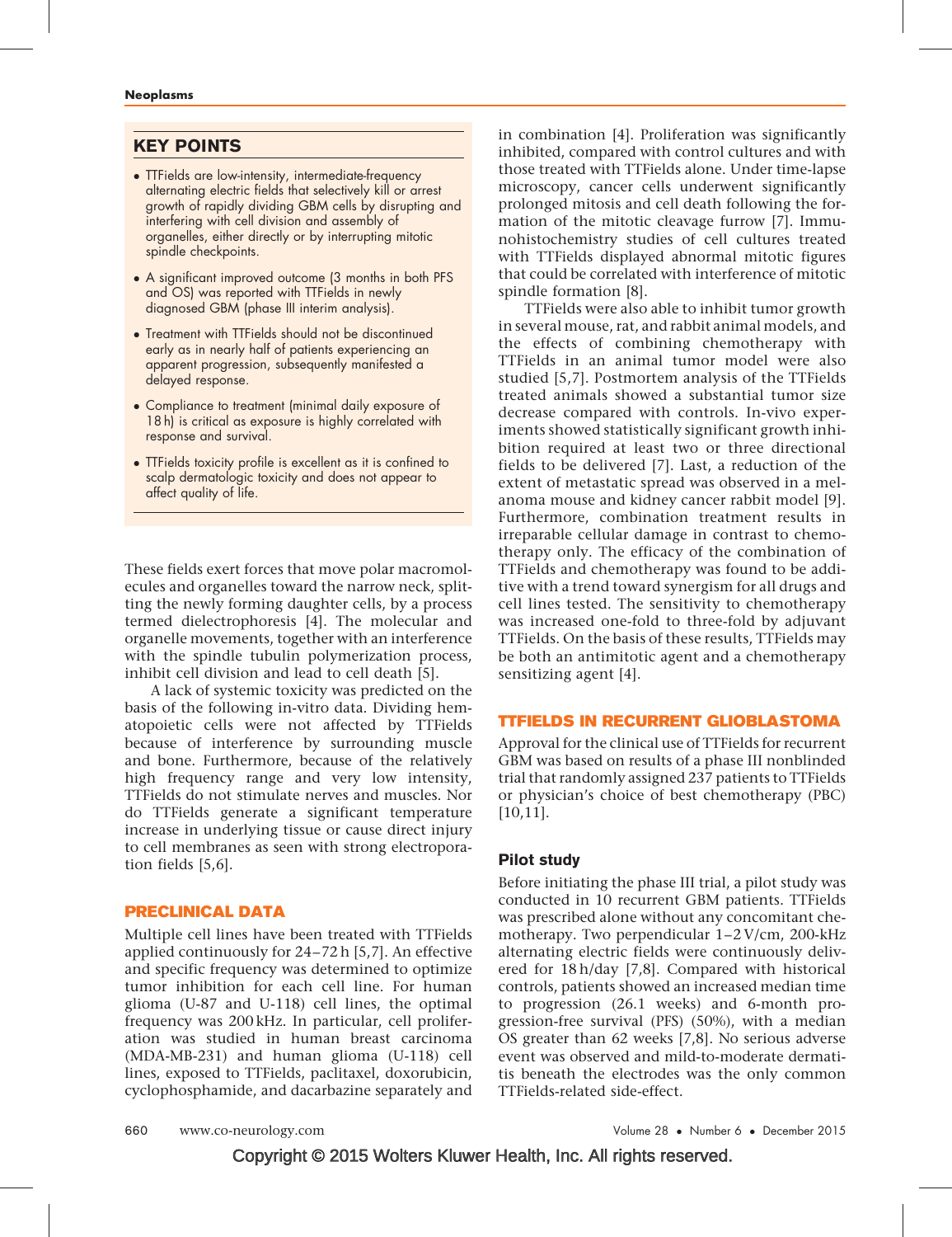## KEY POINTS

- **TTFields are low-intensity, intermediate-frequency** alternating electric fields that selectively kill or arrest growth of rapidly dividing GBM cells by disrupting and interfering with cell division and assembly of organelles, either directly or by interrupting mitotic spindle checkpoints.
- A significant improved outcome (3 months in both PFS and OS) was reported with TTFields in newly diagnosed GBM (phase III interim analysis).
- Treatment with TTFields should not be discontinued early as in nearly half of patients experiencing an apparent progression, subsequently manifested a delayed response.
- Compliance to treatment (minimal daily exposure of 18 h) is critical as exposure is highly correlated with response and survival.
- TTFields toxicity profile is excellent as it is confined to scalp dermatologic toxicity and does not appear to affect quality of life.

These fields exert forces that move polar macromolecules and organelles toward the narrow neck, splitting the newly forming daughter cells, by a process termed dielectrophoresis [\[4\]](#page-5-0). The molecular and organelle movements, together with an interference with the spindle tubulin polymerization process, inhibit cell division and lead to cell death [\[5\]](#page-5-0).

A lack of systemic toxicity was predicted on the basis of the following in-vitro data. Dividing hematopoietic cells were not affected by TTFields because of interference by surrounding muscle and bone. Furthermore, because of the relatively high frequency range and very low intensity, TTFields do not stimulate nerves and muscles. Nor do TTFields generate a significant temperature increase in underlying tissue or cause direct injury to cell membranes as seen with strong electroporation fields [\[5,6\].](#page-5-0)

#### PRECLINICAL DATA

Multiple cell lines have been treated with TTFields applied continuously for 24–72 h [\[5,7\]](#page-5-0). An effective and specific frequency was determined to optimize tumor inhibition for each cell line. For human glioma (U-87 and U-118) cell lines, the optimal frequency was 200 kHz. In particular, cell proliferation was studied in human breast carcinoma (MDA-MB-231) and human glioma (U-118) cell lines, exposed to TTFields, paclitaxel, doxorubicin, cyclophosphamide, and dacarbazine separately and in combination [\[4\]](#page-5-0). Proliferation was significantly inhibited, compared with control cultures and with those treated with TTFields alone. Under time-lapse microscopy, cancer cells underwent significantly prolonged mitosis and cell death following the formation of the mitotic cleavage furrow [\[7\].](#page-5-0) Immunohistochemistry studies of cell cultures treated with TTFields displayed abnormal mitotic figures that could be correlated with interference of mitotic spindle formation [\[8\].](#page-5-0)

TTFields were also able to inhibit tumor growth in several mouse, rat, and rabbit animal models, and the effects of combining chemotherapy with TTFields in an animal tumor model were also studied [\[5,7\]](#page-5-0). Postmortem analysis of the TTFields treated animals showed a substantial tumor size decrease compared with controls. In-vivo experiments showed statistically significant growth inhibition required at least two or three directional fields to be delivered [\[7\].](#page-5-0) Last, a reduction of the extent of metastatic spread was observed in a melanoma mouse and kidney cancer rabbit model [\[9\]](#page-5-0). Furthermore, combination treatment results in irreparable cellular damage in contrast to chemotherapy only. The efficacy of the combination of TTFields and chemotherapy was found to be additive with a trend toward synergism for all drugs and cell lines tested. The sensitivity to chemotherapy was increased one-fold to three-fold by adjuvant TTFields. On the basis of these results, TTFields may be both an antimitotic agent and a chemotherapy sensitizing agent [\[4\]](#page-5-0).

## TTFIELDS IN RECURRENT GLIOBLASTOMA

Approval for the clinical use of TTFields for recurrent GBM was based on results of a phase III nonblinded trial that randomly assigned 237 patients to TTFields or physician's choice of best chemotherapy (PBC) [\[10,11\]](#page-5-0).

## Pilot study

Before initiating the phase III trial, a pilot study was conducted in 10 recurrent GBM patients. TTFields was prescribed alone without any concomitant chemotherapy. Two perpendicular 1–2 V/cm, 200-kHz alternating electric fields were continuously delivered for 18 h/day [\[7,8\]](#page-5-0). Compared with historical controls, patients showed an increased median time to progression (26.1 weeks) and 6-month progression-free survival (PFS) (50%), with a median OS greater than 62 weeks [\[7,8\].](#page-5-0) No serious adverse event was observed and mild-to-moderate dermatitis beneath the electrodes was the only common TTFields-related side-effect.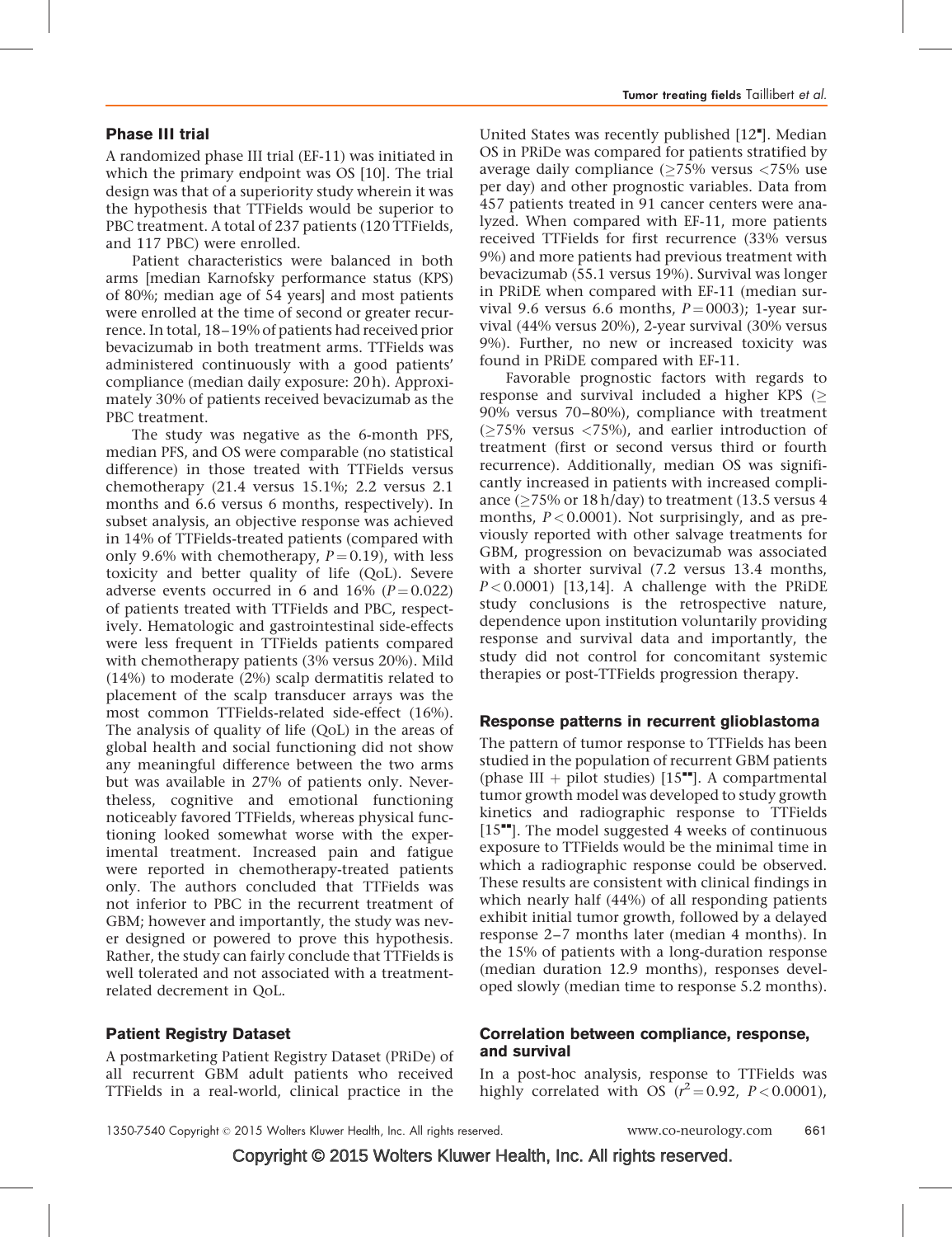#### Phase III trial

A randomized phase III trial (EF-11) was initiated in which the primary endpoint was OS [\[10\].](#page-5-0) The trial design was that of a superiority study wherein it was the hypothesis that TTFields would be superior to PBC treatment. A total of 237 patients (120 TTFields, and 117 PBC) were enrolled.

Patient characteristics were balanced in both arms [median Karnofsky performance status (KPS) of 80%; median age of 54 years] and most patients were enrolled at the time of second or greater recurrence. In total, 18–19% of patients had received prior bevacizumab in both treatment arms. TTFields was administered continuously with a good patients' compliance (median daily exposure: 20 h). Approximately 30% of patients received bevacizumab as the PBC treatment.

The study was negative as the 6-month PFS, median PFS, and OS were comparable (no statistical difference) in those treated with TTFields versus chemotherapy (21.4 versus 15.1%; 2.2 versus 2.1 months and 6.6 versus 6 months, respectively). In subset analysis, an objective response was achieved in 14% of TTFields-treated patients (compared with only 9.6% with chemotherapy,  $P = 0.19$ ), with less toxicity and better quality of life (QoL). Severe adverse events occurred in 6 and 16%  $(P=0.022)$ of patients treated with TTFields and PBC, respectively. Hematologic and gastrointestinal side-effects were less frequent in TTFields patients compared with chemotherapy patients (3% versus 20%). Mild (14%) to moderate (2%) scalp dermatitis related to placement of the scalp transducer arrays was the most common TTFields-related side-effect (16%). The analysis of quality of life (QoL) in the areas of global health and social functioning did not show any meaningful difference between the two arms but was available in 27% of patients only. Nevertheless, cognitive and emotional functioning noticeably favored TTFields, whereas physical functioning looked somewhat worse with the experimental treatment. Increased pain and fatigue were reported in chemotherapy-treated patients only. The authors concluded that TTFields was not inferior to PBC in the recurrent treatment of GBM; however and importantly, the study was never designed or powered to prove this hypothesis. Rather, the study can fairly conclude that TTFields is well tolerated and not associated with a treatmentrelated decrement in QoL.

## Patient Registry Dataset

A postmarketing Patient Registry Dataset (PRiDe) of all recurrent GBM adult patients who received TTFields in a real-world, clinical practice in the

United States was recently published [\[12](#page-5-0)"[\]](#page-5-0). Median OS in PRiDe was compared for patients stratified by average daily compliance ( $\geq$ 75% versus <75% use per day) and other prognostic variables. Data from 457 patients treated in 91 cancer centers were analyzed. When compared with EF-11, more patients received TTFields for first recurrence (33% versus 9%) and more patients had previous treatment with bevacizumab (55.1 versus 19%). Survival was longer in PRiDE when compared with EF-11 (median survival 9.6 versus 6.6 months,  $P = 0003$ ); 1-year survival (44% versus 20%), 2-year survival (30% versus 9%). Further, no new or increased toxicity was found in PRiDE compared with EF-11.

Favorable prognostic factors with regards to response and survival included a higher KPS ( $\geq$ 90% versus 70–80%), compliance with treatment  $(\geq 75\%$  versus  $\lt 75\%)$ , and earlier introduction of treatment (first or second versus third or fourth recurrence). Additionally, median OS was significantly increased in patients with increased compliance ( $\geq$ 75% or 18 h/day) to treatment (13.5 versus 4 months,  $P < 0.0001$ ). Not surprisingly, and as previously reported with other salvage treatments for GBM, progression on bevacizumab was associated with a shorter survival (7.2 versus 13.4 months,  $P < 0.0001$ ) [\[13,14\].](#page-5-0) A challenge with the PRIDE study conclusions is the retrospective nature, dependence upon institution voluntarily providing response and survival data and importantly, the study did not control for concomitant systemic therapies or post-TTFields progression therapy.

## Response patterns in recurrent glioblastoma

The pattern of tumor response to TTFields has been studied in the population of recurrent GBM patients (phase III + pilot studies)  $[15$ <sup>---</sup>[\].](#page-5-0) A compartmental tumor growth model was developed to study growth kinetics and radiographic response to TTFields  $[15"']$  $[15"']$  $[15"']$ . The model suggested 4 weeks of continuous exposure to TTFields would be the minimal time in which a radiographic response could be observed. These results are consistent with clinical findings in which nearly half (44%) of all responding patients exhibit initial tumor growth, followed by a delayed response 2–7 months later (median 4 months). In the 15% of patients with a long-duration response (median duration 12.9 months), responses developed slowly (median time to response 5.2 months).

## Correlation between compliance, response, and survival

In a post-hoc analysis, response to TTFields was highly correlated with OS  $(r^2 = 0.92, P < 0.0001)$ ,

Copyright © 2015 Wolters Kluwer Health, Inc. All rights reserved.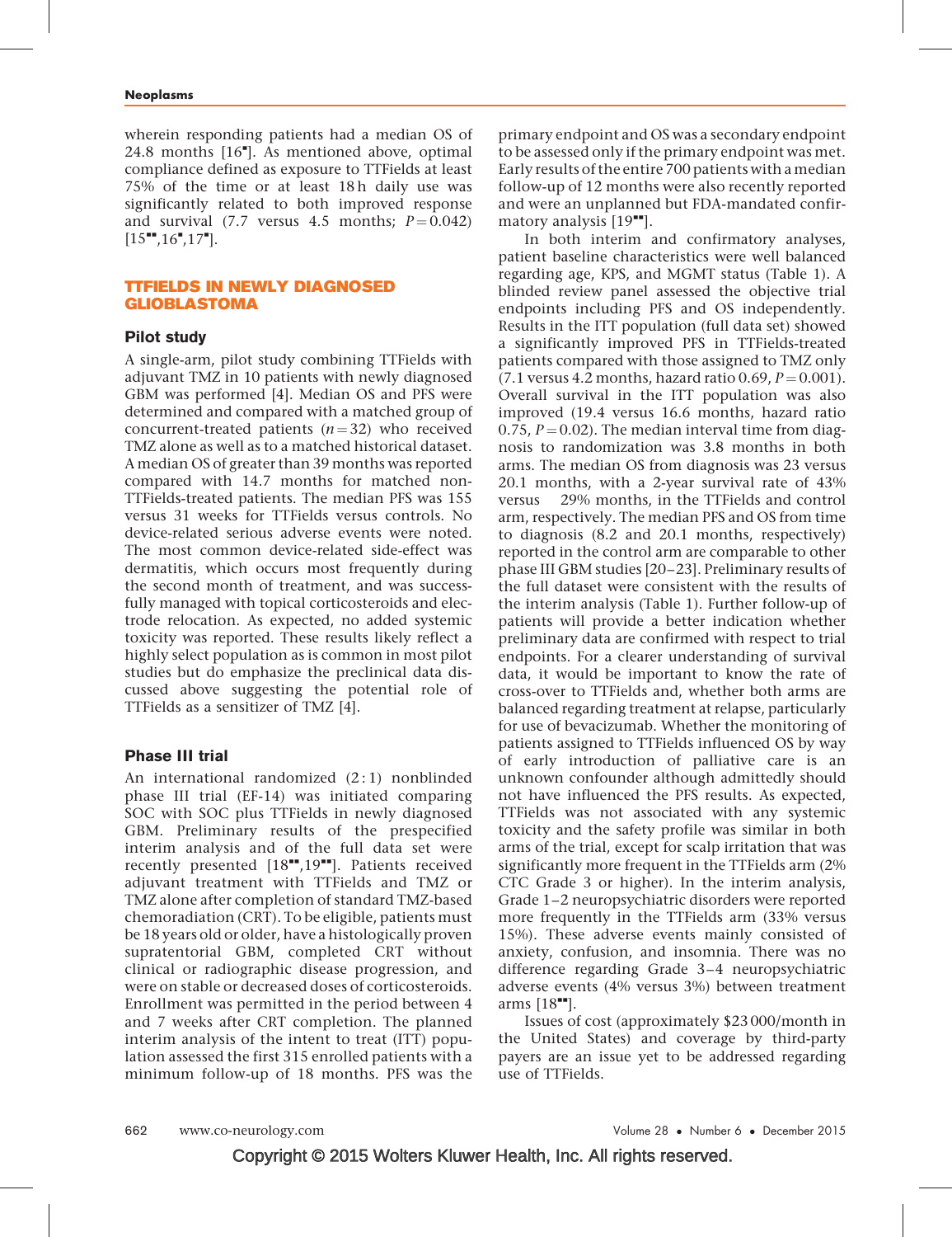wherein responding patients had a median OS of 24.8 months [\[16](#page-5-0)"[\].](#page-5-0) As mentioned above, optimal compliance defined as exposure to TTFields at least 75% of the time or at least 18 h daily use was significantly related to both improved response and survival (7.7 versus 4.5 months;  $P = 0.042$ )  $[15^{\bullet\bullet}, 16^{\bullet}, 17^{\bullet}].$  $[15^{\bullet\bullet}, 16^{\bullet}, 17^{\bullet}].$  $[15^{\bullet\bullet}, 16^{\bullet}, 17^{\bullet}].$  $[15^{\bullet\bullet}, 16^{\bullet}, 17^{\bullet}].$ 

#### TTFIELDS IN NEWLY DIAGNOSED GLIOBLASTOMA

## Pilot study

A single-arm, pilot study combining TTFields with adjuvant TMZ in 10 patients with newly diagnosed GBM was performed [\[4\].](#page-5-0) Median OS and PFS were determined and compared with a matched group of concurrent-treated patients  $(n = 32)$  who received TMZ alone as well as to a matched historical dataset. A median OS of greater than 39 months was reported compared with 14.7 months for matched non-TTFields-treated patients. The median PFS was 155 versus 31 weeks for TTFields versus controls. No device-related serious adverse events were noted. The most common device-related side-effect was dermatitis, which occurs most frequently during the second month of treatment, and was successfully managed with topical corticosteroids and electrode relocation. As expected, no added systemic toxicity was reported. These results likely reflect a highly select population as is common in most pilot studies but do emphasize the preclinical data discussed above suggesting the potential role of TTFields as a sensitizer of TMZ [\[4\]](#page-5-0).

## Phase III trial

An international randomized (2:1) nonblinded phase III trial (EF-14) was initiated comparing SOC with SOC plus TTFields in newly diagnosed GBM. Preliminary results of the prespecified interim analysis and of the full data set were recently presented  $[18"$  $[18"$ [,19](#page-5-0)"[\].](#page-5-0) Patients received adjuvant treatment with TTFields and TMZ or TMZ alone after completion of standard TMZ-based chemoradiation (CRT). To be eligible, patients must be 18 years old or older, have a histologically proven supratentorial GBM, completed CRT without clinical or radiographic disease progression, and were on stable or decreased doses of corticosteroids. Enrollment was permitted in the period between 4 and 7 weeks after CRT completion. The planned interim analysis of the intent to treat (ITT) population assessed the first 315 enrolled patients with a minimum follow-up of 18 months. PFS was the

primary endpoint and OS was a secondary endpoint to be assessed only if the primary endpoint was met. Early results of the entire 700 patients with amedian follow-up of 12 months were also recently reported and were an unplanned but FDA-mandated confirmatory analysis  $[19$ <sup> $\textdegree$ </sup>[\]](#page-5-0).

In both interim and confirmatory analyses, patient baseline characteristics were well balanced regarding age, KPS, and MGMT status (Table 1). A blinded review panel assessed the objective trial endpoints including PFS and OS independently. Results in the ITT population (full data set) showed a significantly improved PFS in TTFields-treated patients compared with those assigned to TMZ only (7.1 versus 4.2 months, hazard ratio 0.69,  $P = 0.001$ ). Overall survival in the ITT population was also improved (19.4 versus 16.6 months, hazard ratio 0.75,  $P = 0.02$ ). The median interval time from diagnosis to randomization was 3.8 months in both arms. The median OS from diagnosis was 23 versus 20.1 months, with a 2-year survival rate of 43% versus 29% months, in the TTFields and control arm, respectively. The median PFS and OS from time to diagnosis (8.2 and 20.1 months, respectively) reported in the control arm are comparable to other phase III GBM studies [\[20–23\].](#page-5-0) Preliminary results of the full dataset were consistent with the results of the interim analysis (Table 1). Further follow-up of patients will provide a better indication whether preliminary data are confirmed with respect to trial endpoints. For a clearer understanding of survival data, it would be important to know the rate of cross-over to TTFields and, whether both arms are balanced regarding treatment at relapse, particularly for use of bevacizumab. Whether the monitoring of patients assigned to TTFields influenced OS by way of early introduction of palliative care is an unknown confounder although admittedly should not have influenced the PFS results. As expected, TTFields was not associated with any systemic toxicity and the safety profile was similar in both arms of the trial, except for scalp irritation that was significantly more frequent in the TTFields arm (2% CTC Grade 3 or higher). In the interim analysis, Grade 1–2 neuropsychiatric disorders were reported more frequently in the TTFields arm (33% versus 15%). These adverse events mainly consisted of anxiety, confusion, and insomnia. There was no difference regarding Grade 3–4 neuropsychiatric adverse events (4% versus 3%) between treatment arms  $[18$ <sup> $\text{m}$ </sup>[\].](#page-5-0)

Issues of cost (approximately \$23 000/month in the United States) and coverage by third-party payers are an issue yet to be addressed regarding use of TTFields.

Copyright © 2015 Wolters Kluwer Health, Inc. All rights reserved.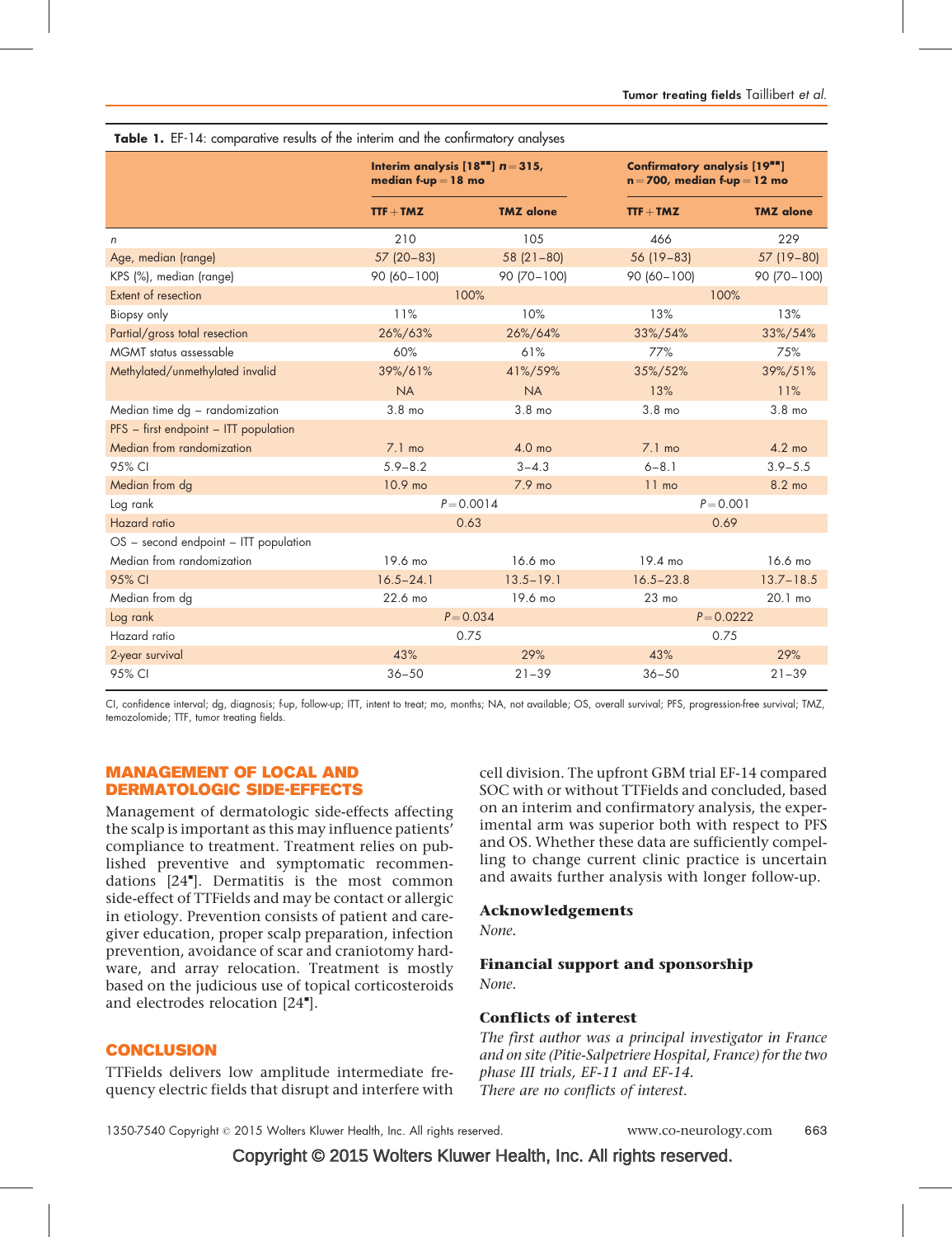| <b>TODIC 1.</b> LET 14. Comparative results of the internit and the committatory analyses |                                                                 |                   |                                                                   |                   |  |  |  |  |  |  |  |
|-------------------------------------------------------------------------------------------|-----------------------------------------------------------------|-------------------|-------------------------------------------------------------------|-------------------|--|--|--|--|--|--|--|
|                                                                                           | Interim analysis $[18^{11}] n = 315$ ,<br>median f-up $= 18$ mo |                   | Confirmatory analysis [19""]<br>$n = 700$ , median f-up $= 12$ mo |                   |  |  |  |  |  |  |  |
|                                                                                           | $TTF + TMZ$                                                     | <b>TMZ</b> alone  | $TTF + TMZ$                                                       | <b>TMZ</b> alone  |  |  |  |  |  |  |  |
| n                                                                                         | 210                                                             | 105               | 466                                                               | 229               |  |  |  |  |  |  |  |
| Age, median (range)                                                                       | $57(20-83)$                                                     | $58(21-80)$       | 56 (19 - 83)                                                      | 57 (19-80)        |  |  |  |  |  |  |  |
| KPS (%), median (range)                                                                   | $90(60 - 100)$                                                  | 90 (70-100)       | 90 (60-100)                                                       | 90 (70-100)       |  |  |  |  |  |  |  |
| Extent of resection                                                                       |                                                                 | 100%              | 100%                                                              |                   |  |  |  |  |  |  |  |
| Biopsy only                                                                               | 11%                                                             | 10%               | 13%                                                               | 13%               |  |  |  |  |  |  |  |
| Partial/gross total resection                                                             | 26%/63%                                                         | 26%/64%           | 33%/54%                                                           | 33%/54%           |  |  |  |  |  |  |  |
| MGMT status assessable                                                                    | 60%                                                             | 61%               | 77%                                                               | 75%               |  |  |  |  |  |  |  |
| Methylated/unmethylated invalid                                                           | 39%/61%                                                         | 41%/59%           | 35%/52%                                                           | 39%/51%           |  |  |  |  |  |  |  |
|                                                                                           | <b>NA</b>                                                       | <b>NA</b>         | 13%                                                               | 11%               |  |  |  |  |  |  |  |
| Median time dg - randomization                                                            | 3.8 <sub>mo</sub>                                               | 3.8 <sub>mo</sub> | 3.8 mo                                                            | 3.8 <sub>mo</sub> |  |  |  |  |  |  |  |
| PFS - first endpoint - ITT population                                                     |                                                                 |                   |                                                                   |                   |  |  |  |  |  |  |  |
| Median from randomization                                                                 | $7.1 \text{ mo}$                                                | 4.0 mo            | $7.1 \text{ mo}$                                                  | $4.2 \text{ mo}$  |  |  |  |  |  |  |  |
| 95% CI                                                                                    | $5.9 - 8.2$                                                     | $3 - 4.3$         | $6 - 8.1$                                                         | $3.9 - 5.5$       |  |  |  |  |  |  |  |
| Median from dg                                                                            | 10.9 mo                                                         | 7.9 mo            | $11$ mo                                                           | 8.2 mo            |  |  |  |  |  |  |  |
| Log rank                                                                                  |                                                                 | $P = 0.0014$      | $P = 0.001$                                                       |                   |  |  |  |  |  |  |  |
| Hazard ratio                                                                              |                                                                 | 0.63              | 0.69                                                              |                   |  |  |  |  |  |  |  |
| OS - second endpoint - ITT population                                                     |                                                                 |                   |                                                                   |                   |  |  |  |  |  |  |  |
| Median from randomization                                                                 | 19.6 mo                                                         | 16.6 mo           | 19.4 mo                                                           | 16.6 mo           |  |  |  |  |  |  |  |
| 95% CI                                                                                    | $16.5 - 24.1$                                                   | $13.5 - 19.1$     | $16.5 - 23.8$                                                     | $13.7 - 18.5$     |  |  |  |  |  |  |  |
| Median from dg                                                                            | 22.6 mo                                                         | 19.6 mo           | $23$ mo                                                           | 20.1 mo           |  |  |  |  |  |  |  |
| Log rank                                                                                  | $P = 0.034$                                                     |                   | $P = 0.0222$                                                      |                   |  |  |  |  |  |  |  |
| Hazard ratio                                                                              | 0.75                                                            |                   | 0.75                                                              |                   |  |  |  |  |  |  |  |
| 2-year survival                                                                           | 43%                                                             | 29%               | 43%                                                               | 29%               |  |  |  |  |  |  |  |
| 95% CI                                                                                    | $36 - 50$                                                       | $21 - 39$         | $36 - 50$                                                         | $21 - 39$         |  |  |  |  |  |  |  |

|  |  | Table 1. EF-14: comparative results of the interim and the confirmatory analyses |  |  |  |  |  |  |  |  |
|--|--|----------------------------------------------------------------------------------|--|--|--|--|--|--|--|--|
|--|--|----------------------------------------------------------------------------------|--|--|--|--|--|--|--|--|

CI, confidence interval; dg, diagnosis; f-up, follow-up; ITT, intent to treat; mo, months; NA, not available; OS, overall survival; PFS, progression-free survival; TMZ, temozolomide; TTF, tumor treating fields.

#### MANAGEMENT OF LOCAL AND DERMATOLOGIC SIDE-EFFECTS

Management of dermatologic side-effects affecting the scalp is important as this may influence patients' compliance to treatment. Treatment relies on published preventive and symptomatic recommen-dations [\[24](#page-5-0)"[\]](#page-5-0). Dermatitis is the most common side-effect of TTFields and may be contact or allergic in etiology. Prevention consists of patient and caregiver education, proper scalp preparation, infection prevention, avoidance of scar and craniotomy hardware, and array relocation. Treatment is mostly based on the judicious use of topical corticosteroids and electrodes relocation [\[24](#page-5-0)"[\]](#page-5-0).

## **CONCLUSION**

TTFields delivers low amplitude intermediate frequency electric fields that disrupt and interfere with cell division. The upfront GBM trial EF-14 compared SOC with or without TTFields and concluded, based on an interim and confirmatory analysis, the experimental arm was superior both with respect to PFS and OS. Whether these data are sufficiently compelling to change current clinic practice is uncertain and awaits further analysis with longer follow-up.

## Acknowledgements

None.

#### Financial support and sponsorship None.

## Conflicts of interest

The first author was a principal investigator in France and on site (Pitie-Salpetriere Hospital, France) for the two phase III trials, EF-11 and EF-14. There are no conflicts of interest.

1350-7540 Copyright © 2015 Wolters Kluwer Health, Inc. All rights reserved. www.co-neurology.com 663